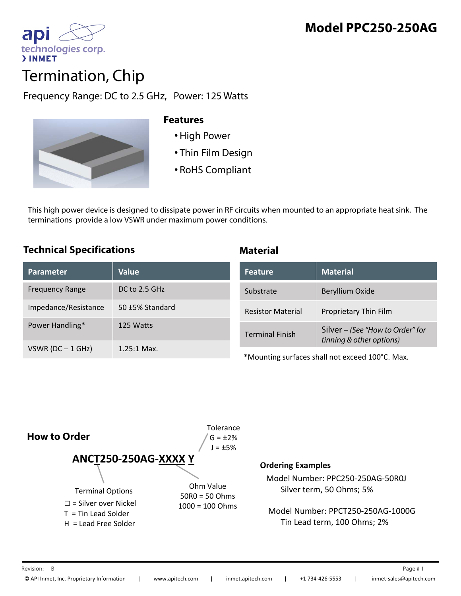

# Termination, Chip

Frequency Range: DC to 2.5 GHz, Power: 125 Watts



### **Features**

- •High Power
- Thin Film Design
- RoHS Compliant

This high power device is designed to dissipate power in RF circuits when mounted to an appropriate heat sink. The terminations provide a low VSWR under maximum power conditions.

## **Technical Specifications**

|  | <b>Material</b> |  |
|--|-----------------|--|
|  |                 |  |
|  |                 |  |

| Parameter              | <b>Value</b>    | <b>Feature</b>                                  | <b>Material</b>                                              |
|------------------------|-----------------|-------------------------------------------------|--------------------------------------------------------------|
| <b>Frequency Range</b> | DC to 2.5 GHz   | Substrate                                       | Beryllium Oxide                                              |
| Impedance/Resistance   | 50 ±5% Standard | <b>Resistor Material</b>                        | Proprietary Thin Film                                        |
| Power Handling*        | 125 Watts       | <b>Terminal Finish</b>                          | Silver - (See "How to Order" for<br>tinning & other options) |
| VSWR ( $DC - 1$ GHz)   | $1.25:1$ Max.   | *Mounting surfaces shall not exceed 100°C. Max. |                                                              |